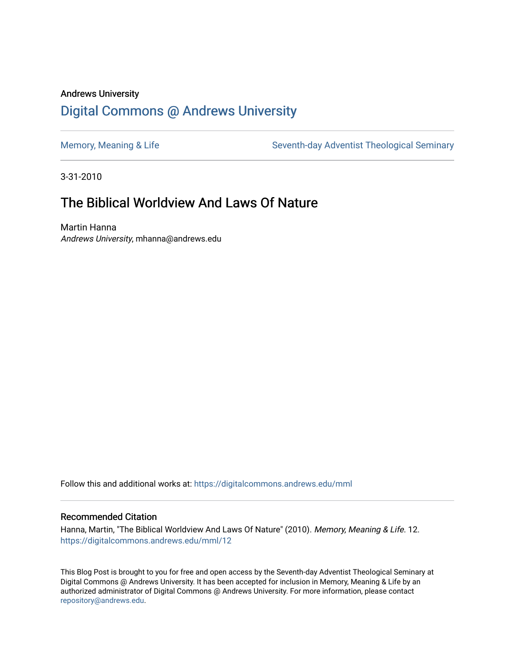# Andrews University [Digital Commons @ Andrews University](https://digitalcommons.andrews.edu/)

[Memory, Meaning & Life](https://digitalcommons.andrews.edu/mml) Seventh-day Adventist Theological Seminary

3-31-2010

# The Biblical Worldview And Laws Of Nature

Martin Hanna Andrews University, mhanna@andrews.edu

Follow this and additional works at: [https://digitalcommons.andrews.edu/mml](https://digitalcommons.andrews.edu/mml?utm_source=digitalcommons.andrews.edu%2Fmml%2F12&utm_medium=PDF&utm_campaign=PDFCoverPages) 

#### Recommended Citation

Hanna, Martin, "The Biblical Worldview And Laws Of Nature" (2010). Memory, Meaning & Life. 12. [https://digitalcommons.andrews.edu/mml/12](https://digitalcommons.andrews.edu/mml/12?utm_source=digitalcommons.andrews.edu%2Fmml%2F12&utm_medium=PDF&utm_campaign=PDFCoverPages)

This Blog Post is brought to you for free and open access by the Seventh-day Adventist Theological Seminary at Digital Commons @ Andrews University. It has been accepted for inclusion in Memory, Meaning & Life by an authorized administrator of Digital Commons @ Andrews University. For more information, please contact [repository@andrews.edu](mailto:repository@andrews.edu).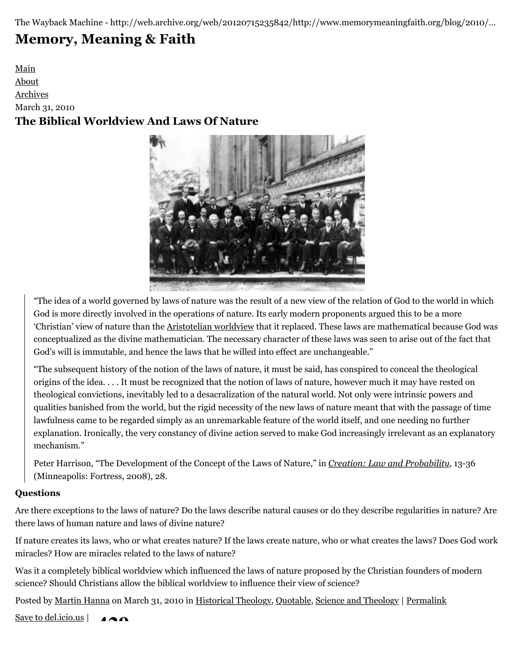The Wayback Machine - http://web.archive.org/web/20120715235842/http://www.memorymeaningfaith.org/blog/2010/…

# **[Memory, Meaning & Faith](http://web.archive.org/web/20120715235842/http://www.memorymeaningfaith.org/blog/)**

[Main](http://web.archive.org/web/20120715235842/http://www.memorymeaningfaith.org/blog) [About](http://web.archive.org/web/20120715235842/http://www.memorymeaningfaith.org/blog/about.html) [Archives](http://web.archive.org/web/20120715235842/http://www.memorymeaningfaith.org/blog/archives.html) March 31, 2010 **The Biblical Worldview And Laws Of Nature**



"The idea of a world governed by laws of nature was the result of a new view of the relation of God to the world in which God is more directly involved in the operations of nature. Its early modern proponents argued this to be a more 'Christian' view of nature than the [Aristotelian worldview](http://web.archive.org/web/20120715235842/http://en.wikipedia.org/wiki/Aristotle#Aristotle.27s_scientific_method) that it replaced. These laws are mathematical because God was conceptualized as the divine mathematician. The necessary character of these laws was seen to arise out of the fact that God's will is immutable, and hence the laws that he willed into effect are unchangeable."

"The subsequent history of the notion of the laws of nature, it must be said, has conspired to conceal the theological origins of the idea. . . . It must be recognized that the notion of laws of nature, however much it may have rested on theological convictions, inevitably led to a desacralization of the natural world. Not only were intrinsic powers and qualities banished from the world, but the rigid necessity of the new laws of nature meant that with the passage of time lawfulness came to be regarded simply as an unremarkable feature of the world itself, and one needing no further explanation. Ironically, the very constancy of divine action served to make God increasingly irrelevant as an explanatory mechanism."

Peter Harrison, "The Development of the Concept of the Laws of Nature," in *[Creation: Law and Probability](http://web.archive.org/web/20120715235842/http://books.google.com/books?id=2l1VmgbzwCYC&lpg=PP1&ots=zuWcXT3h5T&dq=creation%20law%20and%20probability&pg=PP1#v=onepage&q=&f=true)*, 13-36 (Minneapolis: Fortress, 2008), 28.

# **Questions**

Are there exceptions to the laws of nature? Do the laws describe natural causes or do they describe regularities in nature? Are there laws of human nature and laws of divine nature?

If nature creates its laws, who or what creates nature? If the laws create nature, who or what creates the laws? Does God work miracles? How are miracles related to the laws of nature?

Was it a completely biblical worldview which influenced the laws of nature proposed by the Christian founders of modern science? Should Christians allow the biblical worldview to influence their view of science?

Posted by [Martin Hanna](http://web.archive.org/web/20120715235842/http://profile.typepad.com/mhanna) on March 31, 2010 in [Historical Theology,](http://web.archive.org/web/20120715235842/http://www.memorymeaningfaith.org/blog/theology/) [Quotable](http://web.archive.org/web/20120715235842/http://www.memorymeaningfaith.org/blog/sources/), [Science and Theology](http://web.archive.org/web/20120715235842/http://www.memorymeaningfaith.org/blog/science-and-theology/) | [Permalink](http://web.archive.org/web/20120715235842/http://www.memorymeaningfaith.org/blog/2010/03/the-biblical-worldview-and-laws-of-nature.html)

[Save to del.icio.us](http://web.archive.org/web/20120715235842/http://del.icio.us/post) | **429**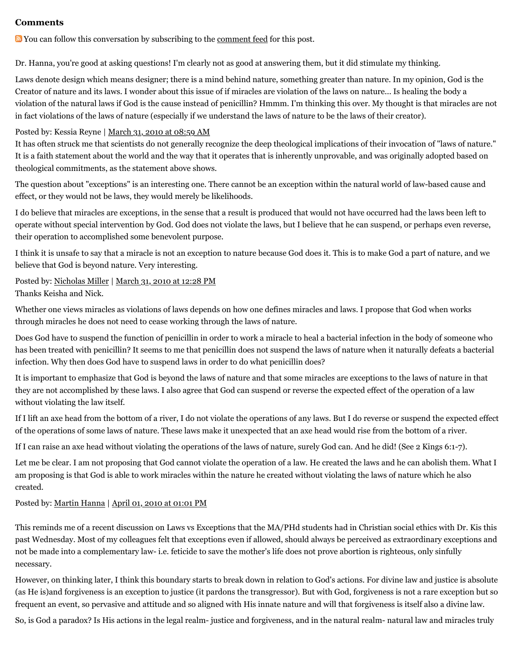#### **Comments**

You can follow this conversation by subscribing to the [comment feed](http://web.archive.org/web/20120715235842/http://www.memorymeaningfaith.org/blog/2010/03/the-biblical-worldview-and-laws-of-nature/comments/atom.xml) for this post.

Dr. Hanna, you're good at asking questions! I'm clearly not as good at answering them, but it did stimulate my thinking.

Laws denote design which means designer; there is a mind behind nature, something greater than nature. In my opinion, God is the Creator of nature and its laws. I wonder about this issue of if miracles are violation of the laws on nature... Is healing the body a violation of the natural laws if God is the cause instead of penicillin? Hmmm. I'm thinking this over. My thought is that miracles are not in fact violations of the laws of nature (especially if we understand the laws of nature to be the laws of their creator).

#### Posted by: Kessia Reyne | [March 31, 2010 at 08:59 AM](http://web.archive.org/web/20120715235842/http://www.memorymeaningfaith.org/blog/2010/03/the-biblical-worldview-and-laws-of-nature.html?cid=6a01287656f488970c0133ec5b5fbd970b#comment-6a01287656f488970c0133ec5b5fbd970b)

It has often struck me that scientists do not generally recognize the deep theological implications of their invocation of "laws of nature." It is a faith statement about the world and the way that it operates that is inherently unprovable, and was originally adopted based on theological commitments, as the statement above shows.

The question about "exceptions" is an interesting one. There cannot be an exception within the natural world of law-based cause and effect, or they would not be laws, they would merely be likelihoods.

I do believe that miracles are exceptions, in the sense that a result is produced that would not have occurred had the laws been left to operate without special intervention by God. God does not violate the laws, but I believe that he can suspend, or perhaps even reverse, their operation to accomplished some benevolent purpose.

I think it is unsafe to say that a miracle is not an exception to nature because God does it. This is to make God a part of nature, and we believe that God is beyond nature. Very interesting.

Posted by: [Nicholas Miller](http://web.archive.org/web/20120715235842/http://profile.typepad.com/npmiller) | [March 31, 2010 at 12:28 PM](http://web.archive.org/web/20120715235842/http://www.memorymeaningfaith.org/blog/2010/03/the-biblical-worldview-and-laws-of-nature.html?cid=6a01287656f488970c013110027042970c#comment-6a01287656f488970c013110027042970c) Thanks Keisha and Nick.

Whether one views miracles as violations of laws depends on how one defines miracles and laws. I propose that God when works through miracles he does not need to cease working through the laws of nature.

Does God have to suspend the function of penicillin in order to work a miracle to heal a bacterial infection in the body of someone who has been treated with penicillin? It seems to me that penicillin does not suspend the laws of nature when it naturally defeats a bacterial infection. Why then does God have to suspend laws in order to do what penicillin does?

It is important to emphasize that God is beyond the laws of nature and that some miracles are exceptions to the laws of nature in that they are not accomplished by these laws. I also agree that God can suspend or reverse the expected effect of the operation of a law without violating the law itself.

If I lift an axe head from the bottom of a river, I do not violate the operations of any laws. But I do reverse or suspend the expected effect of the operations of some laws of nature. These laws make it unexpected that an axe head would rise from the bottom of a river.

If I can raise an axe head without violating the operations of the laws of nature, surely God can. And he did! (See 2 Kings 6:1-7).

Let me be clear. I am not proposing that God cannot violate the operation of a law. He created the laws and he can abolish them. What I am proposing is that God is able to work miracles within the nature he created without violating the laws of nature which he also created.

#### Posted by: [Martin Hanna](http://web.archive.org/web/20120715235842/http://cosmicchristconnections.blogspot.com/) | [April 01, 2010 at 01:01 PM](http://web.archive.org/web/20120715235842/http://www.memorymeaningfaith.org/blog/2010/03/the-biblical-worldview-and-laws-of-nature.html?cid=6a01287656f488970c013110088c81970c#comment-6a01287656f488970c013110088c81970c)

This reminds me of a recent discussion on Laws vs Exceptions that the MA/PHd students had in Christian social ethics with Dr. Kis this past Wednesday. Most of my colleagues felt that exceptions even if allowed, should always be perceived as extraordinary exceptions and not be made into a complementary law- i.e. feticide to save the mother's life does not prove abortion is righteous, only sinfully necessary.

However, on thinking later, I think this boundary starts to break down in relation to God's actions. For divine law and justice is absolute (as He is)and forgiveness is an exception to justice (it pardons the transgressor). But with God, forgiveness is not a rare exception but so frequent an event, so pervasive and attitude and so aligned with His innate nature and will that forgiveness is itself also a divine law.

So, is God a paradox? Is His actions in the legal realm- justice and forgiveness, and in the natural realm- natural law and miracles truly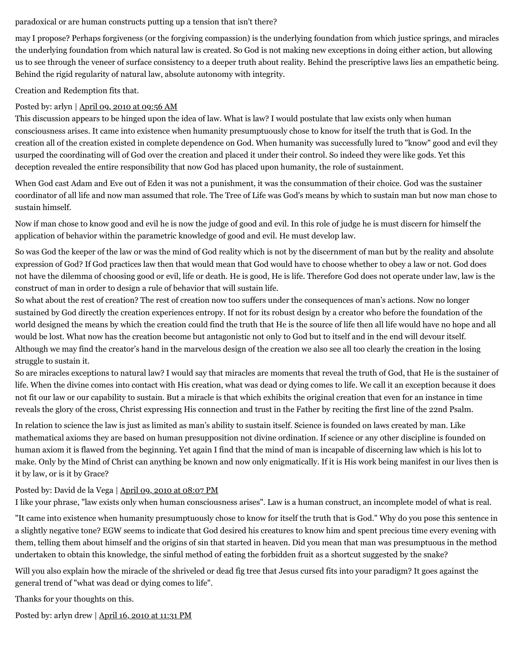#### paradoxical or are human constructs putting up a tension that isn't there?

may I propose? Perhaps forgiveness (or the forgiving compassion) is the underlying foundation from which justice springs, and miracles the underlying foundation from which natural law is created. So God is not making new exceptions in doing either action, but allowing us to see through the veneer of surface consistency to a deeper truth about reality. Behind the prescriptive laws lies an empathetic being. Behind the rigid regularity of natural law, absolute autonomy with integrity.

Creation and Redemption fits that.

#### Posted by: arlyn | [April 09, 2010 at 09:56 AM](http://web.archive.org/web/20120715235842/http://www.memorymeaningfaith.org/blog/2010/03/the-biblical-worldview-and-laws-of-nature.html?cid=6a01287656f488970c01347fc1dd1f970c#comment-6a01287656f488970c01347fc1dd1f970c)

This discussion appears to be hinged upon the idea of law. What is law? I would postulate that law exists only when human consciousness arises. It came into existence when humanity presumptuously chose to know for itself the truth that is God. In the creation all of the creation existed in complete dependence on God. When humanity was successfully lured to "know" good and evil they usurped the coordinating will of God over the creation and placed it under their control. So indeed they were like gods. Yet this deception revealed the entire responsibility that now God has placed upon humanity, the role of sustainment.

When God cast Adam and Eve out of Eden it was not a punishment, it was the consummation of their choice. God was the sustainer coordinator of all life and now man assumed that role. The Tree of Life was God's means by which to sustain man but now man chose to sustain himself.

Now if man chose to know good and evil he is now the judge of good and evil. In this role of judge he is must discern for himself the application of behavior within the parametric knowledge of good and evil. He must develop law.

So was God the keeper of the law or was the mind of God reality which is not by the discernment of man but by the reality and absolute expression of God? If God practices law then that would mean that God would have to choose whether to obey a law or not. God does not have the dilemma of choosing good or evil, life or death. He is good, He is life. Therefore God does not operate under law, law is the construct of man in order to design a rule of behavior that will sustain life.

So what about the rest of creation? The rest of creation now too suffers under the consequences of man's actions. Now no longer sustained by God directly the creation experiences entropy. If not for its robust design by a creator who before the foundation of the world designed the means by which the creation could find the truth that He is the source of life then all life would have no hope and all would be lost. What now has the creation become but antagonistic not only to God but to itself and in the end will devour itself. Although we may find the creator's hand in the marvelous design of the creation we also see all too clearly the creation in the losing struggle to sustain it.

So are miracles exceptions to natural law? I would say that miracles are moments that reveal the truth of God, that He is the sustainer of life. When the divine comes into contact with His creation, what was dead or dying comes to life. We call it an exception because it does not fit our law or our capability to sustain. But a miracle is that which exhibits the original creation that even for an instance in time reveals the glory of the cross, Christ expressing His connection and trust in the Father by reciting the first line of the 22nd Psalm.

In relation to science the law is just as limited as man's ability to sustain itself. Science is founded on laws created by man. Like mathematical axioms they are based on human presupposition not divine ordination. If science or any other discipline is founded on human axiom it is flawed from the beginning. Yet again I find that the mind of man is incapable of discerning law which is his lot to make. Only by the Mind of Christ can anything be known and now only enigmatically. If it is His work being manifest in our lives then is it by law, or is it by Grace?

### Posted by: David de la Vega | [April 09, 2010 at 08:07 PM](http://web.archive.org/web/20120715235842/http://www.memorymeaningfaith.org/blog/2010/03/the-biblical-worldview-and-laws-of-nature.html?cid=6a01287656f488970c01347fc491e6970c#comment-6a01287656f488970c01347fc491e6970c)

I like your phrase, "law exists only when human consciousness arises". Law is a human construct, an incomplete model of what is real.

"It came into existence when humanity presumptuously chose to know for itself the truth that is God." Why do you pose this sentence in a slightly negative tone? EGW seems to indicate that God desired his creatures to know him and spent precious time every evening with them, telling them about himself and the origins of sin that started in heaven. Did you mean that man was presumptuous in the method undertaken to obtain this knowledge, the sinful method of eating the forbidden fruit as a shortcut suggested by the snake?

Will you also explain how the miracle of the shriveled or dead fig tree that Jesus cursed fits into your paradigm? It goes against the general trend of "what was dead or dying comes to life".

Thanks for your thoughts on this.

Posted by: arlyn drew | [April 16, 2010 at 11:31 PM](http://web.archive.org/web/20120715235842/http://www.memorymeaningfaith.org/blog/2010/03/the-biblical-worldview-and-laws-of-nature.html?cid=6a01287656f488970c0133ecbe935e970b#comment-6a01287656f488970c0133ecbe935e970b)